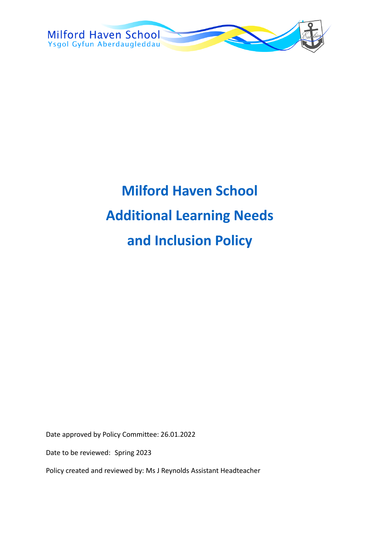

# **Milford Haven School Additional Learning Needs and Inclusion Policy**

Date approved by Policy Committee: 26.01.2022

Date to be reviewed: Spring 2023

Policy created and reviewed by: Ms J Reynolds Assistant Headteacher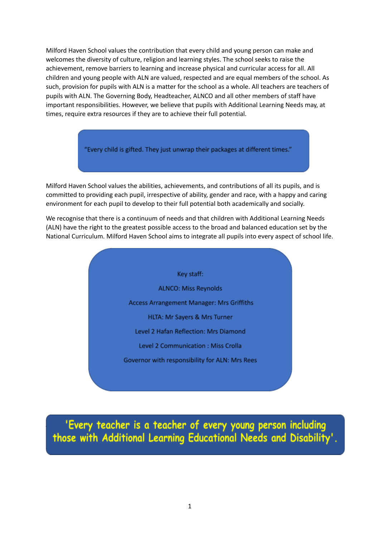Milford Haven School values the contribution that every child and young person can make and welcomes the diversity of culture, religion and learning styles. The school seeks to raise the achievement, remove barriers to learning and increase physical and curricular access for all. All children and young people with ALN are valued, respected and are equal members of the school. As such, provision for pupils with ALN is a matter for the school as a whole. All teachers are teachers of pupils with ALN. The Governing Body, Headteacher, ALNCO and all other members of staff have important responsibilities. However, we believe that pupils with Additional Learning Needs may, at times, require extra resources if they are to achieve their full potential.

"Every child is gifted. They just unwrap their packages at different times."

Milford Haven School values the abilities, achievements, and contributions of all its pupils, and is committed to providing each pupil, irrespective of ability, gender and race, with a happy and caring environment for each pupil to develop to their full potential both academically and socially.

We recognise that there is a continuum of needs and that children with Additional Learning Needs (ALN) have the right to the greatest possible access to the broad and balanced education set by the National Curriculum. Milford Haven School aims to integrate all pupils into every aspect of school life.

> Key staff: **ALNCO: Miss Reynolds** Access Arrangement Manager: Mrs Griffiths HLTA: Mr Sayers & Mrs Turner Level 2 Hafan Reflection: Mrs Diamond Level 2 Communication : Miss Crolla Governor with responsibility for ALN: Mrs Rees

'Every teacher is a teacher of every young person including those with Additional Learning Educational Needs and Disability'.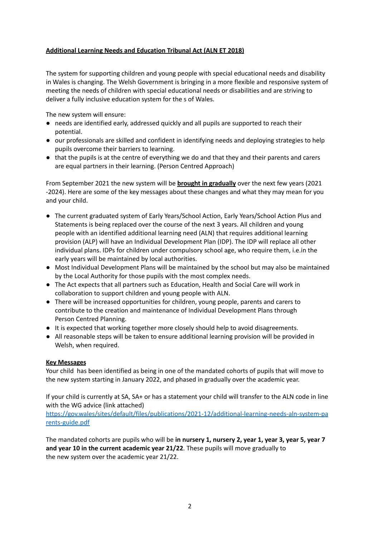#### **Additional Learning Needs and Education Tribunal Act (ALN ET 2018)**

The system for supporting children and young people with special educational needs and disability in Wales is changing. The Welsh Government is bringing in a more flexible and responsive system of meeting the needs of children with special educational needs or disabilities and are striving to deliver a fully inclusive education system for the s of Wales.

The new system will ensure:

- needs are identified early, addressed quickly and all pupils are supported to reach their potential.
- our professionals are skilled and confident in identifying needs and deploying strategies to help pupils overcome their barriers to learning.
- that the pupils is at the centre of everything we do and that they and their parents and carers are equal partners in their learning. (Person Centred Approach)

From September 2021 the new system will be **brought in gradually** over the next few years (2021 -2024). Here are some of the key messages about these changes and what they may mean for you and your child.

- The current graduated system of Early Years/School Action, Early Years/School Action Plus and Statements is being replaced over the course of the next 3 years. All children and young people with an identified additional learning need (ALN) that requires additional learning provision (ALP) will have an Individual Development Plan (IDP). The IDP will replace all other individual plans. IDPs for children under compulsory school age, who require them, i.e.in the early years will be maintained by local authorities.
- Most Individual Development Plans will be maintained by the school but may also be maintained by the Local Authority for those pupils with the most complex needs.
- The Act expects that all partners such as Education, Health and Social Care will work in collaboration to support children and young people with ALN.
- There will be increased opportunities for children, young people, parents and carers to contribute to the creation and maintenance of Individual Development Plans through Person Centred Planning.
- It is expected that working together more closely should help to avoid disagreements.
- All reasonable steps will be taken to ensure additional learning provision will be provided in Welsh, when required.

#### **Key Messages**

Your child has been identified as being in one of the mandated cohorts of pupils that will move to the new system starting in January 2022, and phased in gradually over the academic year.

If your child is currently at SA, SA+ or has a statement your child will transfer to the ALN code in line with the WG advice (link attached)

[https://gov.wales/sites/default/files/publications/2021-12/additional-learning-needs-aln-system-pa](https://gov.wales/sites/default/files/publications/2021-12/additional-learning-needs-aln-system-parents-guide.pdf) [rents-guide.pdf](https://gov.wales/sites/default/files/publications/2021-12/additional-learning-needs-aln-system-parents-guide.pdf)

The mandated cohorts are pupils who will be **in nursery 1, nursery 2, year 1, year 3, year 5, year 7 and year 10 in the current academic year 21/22**. These pupils will move gradually to the new system over the academic year 21/22.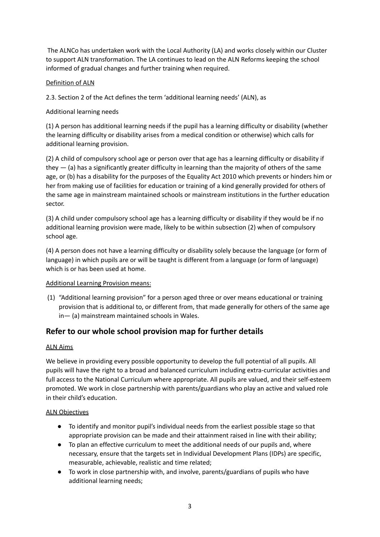The ALNCo has undertaken work with the Local Authority (LA) and works closely within our Cluster to support ALN transformation. The LA continues to lead on the ALN Reforms keeping the school informed of gradual changes and further training when required.

# Definition of ALN

2.3. Section 2 of the Act defines the term 'additional learning needs' (ALN), as

# Additional learning needs

(1) A person has additional learning needs if the pupil has a learning difficulty or disability (whether the learning difficulty or disability arises from a medical condition or otherwise) which calls for additional learning provision.

(2) A child of compulsory school age or person over that age has a learning difficulty or disability if they  $-$  (a) has a significantly greater difficulty in learning than the majority of others of the same age, or (b) has a disability for the purposes of the Equality Act 2010 which prevents or hinders him or her from making use of facilities for education or training of a kind generally provided for others of the same age in mainstream maintained schools or mainstream institutions in the further education sector.

(3) A child under compulsory school age has a learning difficulty or disability if they would be if no additional learning provision were made, likely to be within subsection (2) when of compulsory school age.

(4) A person does not have a learning difficulty or disability solely because the language (or form of language) in which pupils are or will be taught is different from a language (or form of language) which is or has been used at home.

#### Additional Learning Provision means:

(1) "Additional learning provision" for a person aged three or over means educational or training provision that is additional to, or different from, that made generally for others of the same age in— (a) mainstream maintained schools in Wales.

# **Refer to our whole school provision map for further details**

#### ALN Aims

We believe in providing every possible opportunity to develop the full potential of all pupils. All pupils will have the right to a broad and balanced curriculum including extra-curricular activities and full access to the National Curriculum where appropriate. All pupils are valued, and their self-esteem promoted. We work in close partnership with parents/guardians who play an active and valued role in their child's education.

#### ALN Objectives

- To identify and monitor pupil's individual needs from the earliest possible stage so that appropriate provision can be made and their attainment raised in line with their ability;
- To plan an effective curriculum to meet the additional needs of our pupils and, where necessary, ensure that the targets set in Individual Development Plans (IDPs) are specific, measurable, achievable, realistic and time related;
- To work in close partnership with, and involve, parents/guardians of pupils who have additional learning needs;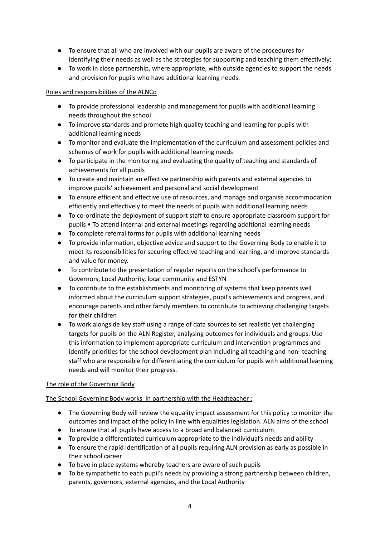- To ensure that all who are involved with our pupils are aware of the procedures for identifying their needs as well as the strategies for supporting and teaching them effectively;
- To work in close partnership, where appropriate, with outside agencies to support the needs and provision for pupils who have additional learning needs.

# Roles and responsibilities of the ALNCo

- To provide professional leadership and management for pupils with additional learning needs throughout the school
- To improve standards and promote high quality teaching and learning for pupils with additional learning needs
- To monitor and evaluate the implementation of the curriculum and assessment policies and schemes of work for pupils with additional learning needs
- To participate in the monitoring and evaluating the quality of teaching and standards of achievements for all pupils
- To create and maintain an effective partnership with parents and external agencies to improve pupils' achievement and personal and social development
- To ensure efficient and effective use of resources, and manage and organise accommodation efficiently and effectively to meet the needs of pupils with additional learning needs
- To co-ordinate the deployment of support staff to ensure appropriate classroom support for pupils • To attend internal and external meetings regarding additional learning needs
- To complete referral forms for pupils with additional learning needs
- To provide information, objective advice and support to the Governing Body to enable it to meet its responsibilities for securing effective teaching and learning, and improve standards and value for money.
- To contribute to the presentation of regular reports on the school's performance to Governors, Local Authority, local community and ESTYN
- To contribute to the establishments and monitoring of systems that keep parents well informed about the curriculum support strategies, pupil's achievements and progress, and encourage parents and other family members to contribute to achieving challenging targets for their children
- To work alongside key staff using a range of data sources to set realistic yet challenging targets for pupils on the ALN Register, analysing outcomes for individuals and groups. Use this information to implement appropriate curriculum and intervention programmes and identify priorities for the school development plan including all teaching and non- teaching staff who are responsible for differentiating the curriculum for pupils with additional learning needs and will monitor their progress.

# The role of the Governing Body

#### The School Governing Body works in partnership with the Headteacher :

- The Governing Body will review the equality impact assessment for this policy to monitor the outcomes and impact of the policy in line with equalities legislation. ALN aims of the school
- To ensure that all pupils have access to a broad and balanced curriculum
- To provide a differentiated curriculum appropriate to the individual's needs and ability
- To ensure the rapid identification of all pupils requiring ALN provision as early as possible in their school career
- To have in place systems whereby teachers are aware of such pupils
- To be sympathetic to each pupil's needs by providing a strong partnership between children, parents, governors, external agencies, and the Local Authority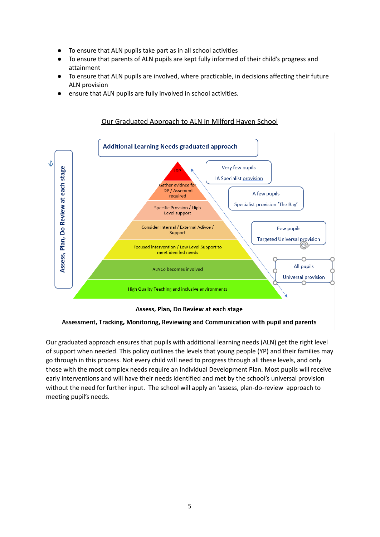- To ensure that ALN pupils take part as in all school activities
- To ensure that parents of ALN pupils are kept fully informed of their child's progress and attainment
- To ensure that ALN pupils are involved, where practicable, in decisions affecting their future ALN provision
- ensure that ALN pupils are fully involved in school activities.



Our Graduated Approach to ALN in Milford Haven School

Assess, Plan, Do Review at each stage

Assessment, Tracking, Monitoring, Reviewing and Communication with pupil and parents

Our graduated approach ensures that pupils with additional learning needs (ALN) get the right level of support when needed. This policy outlines the levels that young people (YP) and their families may go through in this process. Not every child will need to progress through all these levels, and only those with the most complex needs require an Individual Development Plan. Most pupils will receive early interventions and will have their needs identified and met by the school's universal provision without the need for further input. The school will apply an 'assess, plan-do-review approach to meeting pupil's needs.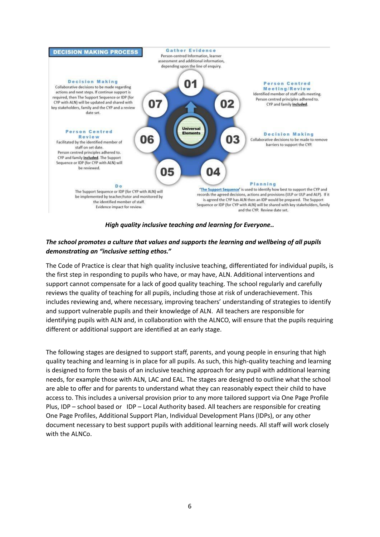

#### *High quality inclusive teaching and learning for Everyone..*

### *The school promotes a culture that values and supports the learning and wellbeing of all pupils demonstrating an "inclusive setting ethos."*

The Code of Practice is clear that high quality inclusive teaching, differentiated for individual pupils, is the first step in responding to pupils who have, or may have, ALN. Additional interventions and support cannot compensate for a lack of good quality teaching. The school regularly and carefully reviews the quality of teaching for all pupils, including those at risk of underachievement. This includes reviewing and, where necessary, improving teachers' understanding of strategies to identify and support vulnerable pupils and their knowledge of ALN. All teachers are responsible for identifying pupils with ALN and, in collaboration with the ALNCO, will ensure that the pupils requiring different or additional support are identified at an early stage.

The following stages are designed to support staff, parents, and young people in ensuring that high quality teaching and learning is in place for all pupils. As such, this high-quality teaching and learning is designed to form the basis of an inclusive teaching approach for any pupil with additional learning needs, for example those with ALN, LAC and EAL. The stages are designed to outline what the school are able to offer and for parents to understand what they can reasonably expect their child to have access to. This includes a universal provision prior to any more tailored support via One Page Profile Plus, IDP – school based or IDP – Local Authority based. All teachers are responsible for creating One Page Profiles, Additional Support Plan, Individual Development Plans (IDPs), or any other document necessary to best support pupils with additional learning needs. All staff will work closely with the ALNCo.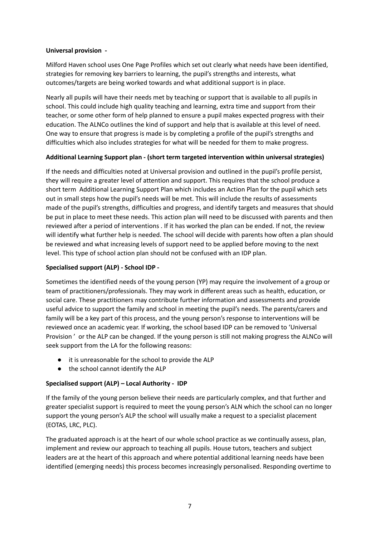#### **Universal provision -**

Milford Haven school uses One Page Profiles which set out clearly what needs have been identified, strategies for removing key barriers to learning, the pupil's strengths and interests, what outcomes/targets are being worked towards and what additional support is in place.

Nearly all pupils will have their needs met by teaching or support that is available to all pupils in school. This could include high quality teaching and learning, extra time and support from their teacher, or some other form of help planned to ensure a pupil makes expected progress with their education. The ALNCo outlines the kind of support and help that is available at this level of need. One way to ensure that progress is made is by completing a profile of the pupil's strengths and difficulties which also includes strategies for what will be needed for them to make progress.

#### **Additional Learning Support plan - (short term targeted intervention within universal strategies)**

If the needs and difficulties noted at Universal provision and outlined in the pupil's profile persist, they will require a greater level of attention and support. This requires that the school produce a short term Additional Learning Support Plan which includes an Action Plan for the pupil which sets out in small steps how the pupil's needs will be met. This will include the results of assessments made of the pupil's strengths, difficulties and progress, and identify targets and measures that should be put in place to meet these needs. This action plan will need to be discussed with parents and then reviewed after a period of interventions . If it has worked the plan can be ended. If not, the review will identify what further help is needed. The school will decide with parents how often a plan should be reviewed and what increasing levels of support need to be applied before moving to the next level. This type of school action plan should not be confused with an IDP plan.

#### **Specialised support (ALP) - School IDP -**

Sometimes the identified needs of the young person (YP) may require the involvement of a group or team of practitioners/professionals. They may work in different areas such as health, education, or social care. These practitioners may contribute further information and assessments and provide useful advice to support the family and school in meeting the pupil's needs. The parents/carers and family will be a key part of this process, and the young person's response to interventions will be reviewed once an academic year. If working, the school based IDP can be removed to 'Universal Provision ' or the ALP can be changed. If the young person is still not making progress the ALNCo will seek support from the LA for the following reasons:

- it is unreasonable for the school to provide the ALP
- the school cannot identify the ALP

#### **Specialised support (ALP) – Local Authority - IDP**

If the family of the young person believe their needs are particularly complex, and that further and greater specialist support is required to meet the young person's ALN which the school can no longer support the young person's ALP the school will usually make a request to a specialist placement (EOTAS, LRC, PLC).

The graduated approach is at the heart of our whole school practice as we continually assess, plan, implement and review our approach to teaching all pupils. House tutors, teachers and subject leaders are at the heart of this approach and where potential additional learning needs have been identified (emerging needs) this process becomes increasingly personalised. Responding overtime to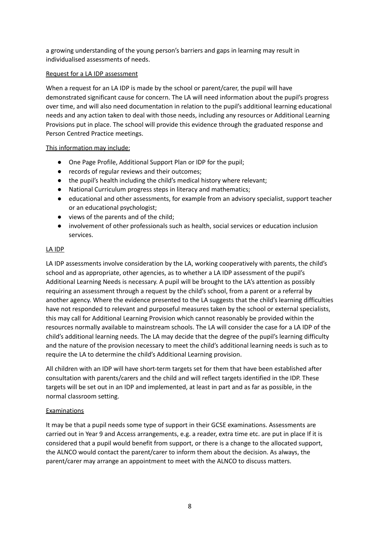a growing understanding of the young person's barriers and gaps in learning may result in individualised assessments of needs.

#### Request for a LA IDP assessment

When a request for an LA IDP is made by the school or parent/carer, the pupil will have demonstrated significant cause for concern. The LA will need information about the pupil's progress over time, and will also need documentation in relation to the pupil's additional learning educational needs and any action taken to deal with those needs, including any resources or Additional Learning Provisions put in place. The school will provide this evidence through the graduated response and Person Centred Practice meetings.

#### This information may include:

- One Page Profile, Additional Support Plan or IDP for the pupil;
- records of regular reviews and their outcomes;
- the pupil's health including the child's medical history where relevant;
- National Curriculum progress steps in literacy and mathematics;
- educational and other assessments, for example from an advisory specialist, support teacher or an educational psychologist;
- views of the parents and of the child;
- involvement of other professionals such as health, social services or education inclusion services.

#### LA IDP

LA IDP assessments involve consideration by the LA, working cooperatively with parents, the child's school and as appropriate, other agencies, as to whether a LA IDP assessment of the pupil's Additional Learning Needs is necessary. A pupil will be brought to the LA's attention as possibly requiring an assessment through a request by the child's school, from a parent or a referral by another agency. Where the evidence presented to the LA suggests that the child's learning difficulties have not responded to relevant and purposeful measures taken by the school or external specialists, this may call for Additional Learning Provision which cannot reasonably be provided within the resources normally available to mainstream schools. The LA will consider the case for a LA IDP of the child's additional learning needs. The LA may decide that the degree of the pupil's learning difficulty and the nature of the provision necessary to meet the child's additional learning needs is such as to require the LA to determine the child's Additional Learning provision.

All children with an IDP will have short-term targets set for them that have been established after consultation with parents/carers and the child and will reflect targets identified in the IDP. These targets will be set out in an IDP and implemented, at least in part and as far as possible, in the normal classroom setting.

#### **Examinations**

It may be that a pupil needs some type of support in their GCSE examinations. Assessments are carried out in Year 9 and Access arrangements, e.g. a reader, extra time etc. are put in place If it is considered that a pupil would benefit from support, or there is a change to the allocated support, the ALNCO would contact the parent/carer to inform them about the decision. As always, the parent/carer may arrange an appointment to meet with the ALNCO to discuss matters.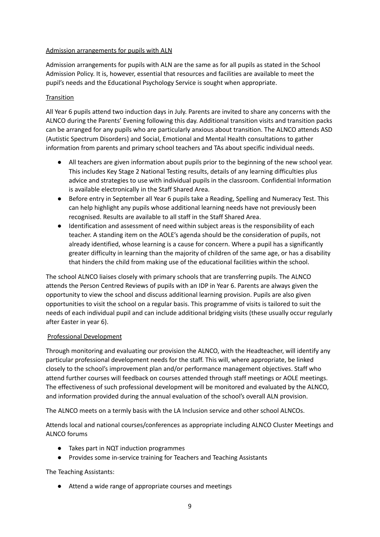#### Admission arrangements for pupils with ALN

Admission arrangements for pupils with ALN are the same as for all pupils as stated in the School Admission Policy. It is, however, essential that resources and facilities are available to meet the pupil's needs and the Educational Psychology Service is sought when appropriate.

#### **Transition**

All Year 6 pupils attend two induction days in July. Parents are invited to share any concerns with the ALNCO during the Parents' Evening following this day. Additional transition visits and transition packs can be arranged for any pupils who are particularly anxious about transition. The ALNCO attends ASD (Autistic Spectrum Disorders) and Social, Emotional and Mental Health consultations to gather information from parents and primary school teachers and TAs about specific individual needs.

- All teachers are given information about pupils prior to the beginning of the new school year. This includes Key Stage 2 National Testing results, details of any learning difficulties plus advice and strategies to use with individual pupils in the classroom. Confidential Information is available electronically in the Staff Shared Area.
- Before entry in September all Year 6 pupils take a Reading, Spelling and Numeracy Test. This can help highlight any pupils whose additional learning needs have not previously been recognised. Results are available to all staff in the Staff Shared Area.
- Identification and assessment of need within subject areas is the responsibility of each teacher. A standing item on the AOLE's agenda should be the consideration of pupils, not already identified, whose learning is a cause for concern. Where a pupil has a significantly greater difficulty in learning than the majority of children of the same age, or has a disability that hinders the child from making use of the educational facilities within the school.

The school ALNCO liaises closely with primary schools that are transferring pupils. The ALNCO attends the Person Centred Reviews of pupils with an IDP in Year 6. Parents are always given the opportunity to view the school and discuss additional learning provision. Pupils are also given opportunities to visit the school on a regular basis. This programme of visits is tailored to suit the needs of each individual pupil and can include additional bridging visits (these usually occur regularly after Easter in year 6).

#### Professional Development

Through monitoring and evaluating our provision the ALNCO, with the Headteacher, will identify any particular professional development needs for the staff. This will, where appropriate, be linked closely to the school's improvement plan and/or performance management objectives. Staff who attend further courses will feedback on courses attended through staff meetings or AOLE meetings. The effectiveness of such professional development will be monitored and evaluated by the ALNCO, and information provided during the annual evaluation of the school's overall ALN provision.

The ALNCO meets on a termly basis with the LA Inclusion service and other school ALNCOs.

Attends local and national courses/conferences as appropriate including ALNCO Cluster Meetings and ALNCO forums

- Takes part in NQT induction programmes
- Provides some in-service training for Teachers and Teaching Assistants

The Teaching Assistants:

● Attend a wide range of appropriate courses and meetings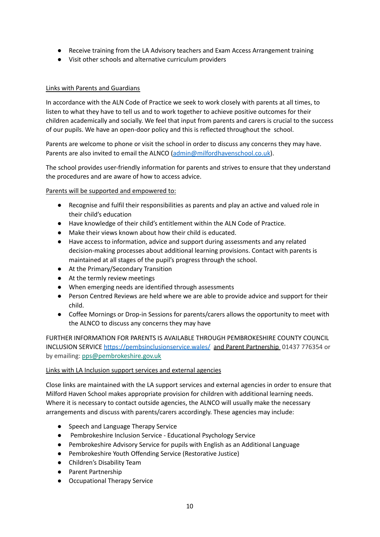- Receive training from the LA Advisory teachers and Exam Access Arrangement training
- Visit other schools and alternative curriculum providers

#### Links with Parents and Guardians

In accordance with the ALN Code of Practice we seek to work closely with parents at all times, to listen to what they have to tell us and to work together to achieve positive outcomes for their children academically and socially. We feel that input from parents and carers is crucial to the success of our pupils. We have an open-door policy and this is reflected throughout the school.

Parents are welcome to phone or visit the school in order to discuss any concerns they may have. Parents are also invited to email the ALNCO [\(admin@milfordhavenschool.co.uk](mailto:admin@milfordhavenschool.co.uk)).

The school provides user-friendly information for parents and strives to ensure that they understand the procedures and are aware of how to access advice.

#### Parents will be supported and empowered to:

- Recognise and fulfil their responsibilities as parents and play an active and valued role in their child's education
- Have knowledge of their child's entitlement within the ALN Code of Practice.
- Make their views known about how their child is educated.
- Have access to information, advice and support during assessments and any related decision-making processes about additional learning provisions. Contact with parents is maintained at all stages of the pupil's progress through the school.
- At the Primary/Secondary Transition
- At the termly review meetings
- When emerging needs are identified through assessments
- Person Centred Reviews are held where we are able to provide advice and support for their child.
- Coffee Mornings or Drop-in Sessions for parents/carers allows the opportunity to meet with the ALNCO to discuss any concerns they may have

FURTHER INFORMATION FOR PARENTS IS AVAILABLE THROUGH PEMBROKESHIRE COUNTY COUNCIL INCLUSION SERVICE <https://pembsinclusionservice.wales/> and Parent Partnership 01437 776354 or by emailing: [pps@pembrokeshire.gov.uk](mailto:pps@pembrokeshire.gov.uk)

#### Links with LA Inclusion support services and external agencies

Close links are maintained with the LA support services and external agencies in order to ensure that Milford Haven School makes appropriate provision for children with additional learning needs. Where it is necessary to contact outside agencies, the ALNCO will usually make the necessary arrangements and discuss with parents/carers accordingly. These agencies may include:

- Speech and Language Therapy Service
- Pembrokeshire Inclusion Service Educational Psychology Service
- Pembrokeshire Advisory Service for pupils with English as an Additional Language
- Pembrokeshire Youth Offending Service (Restorative Justice)
- Children's Disability Team
- Parent Partnership
- Occupational Therapy Service